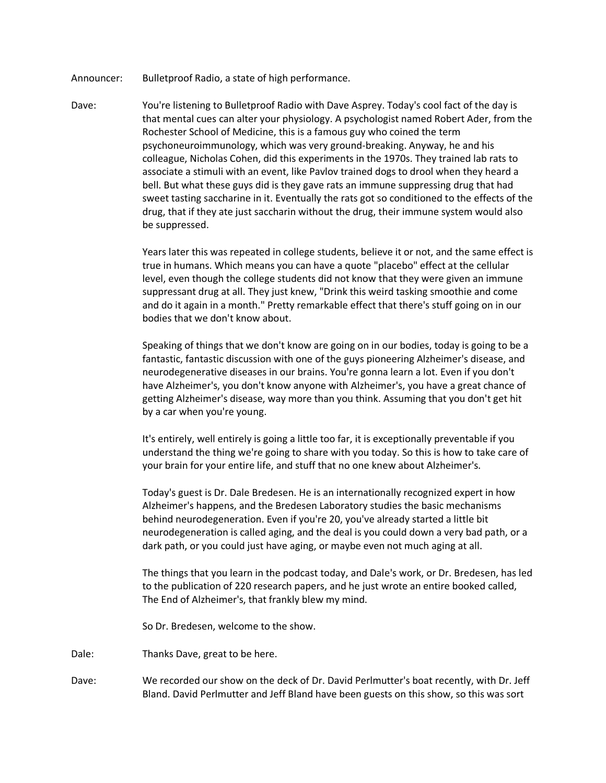- Announcer: Bulletproof Radio, a state of high performance.
- Dave: You're listening to Bulletproof Radio with Dave Asprey. Today's cool fact of the day is that mental cues can alter your physiology. A psychologist named Robert Ader, from the Rochester School of Medicine, this is a famous guy who coined the term psychoneuroimmunology, which was very ground-breaking. Anyway, he and his colleague, Nicholas Cohen, did this experiments in the 1970s. They trained lab rats to associate a stimuli with an event, like Pavlov trained dogs to drool when they heard a bell. But what these guys did is they gave rats an immune suppressing drug that had sweet tasting saccharine in it. Eventually the rats got so conditioned to the effects of the drug, that if they ate just saccharin without the drug, their immune system would also be suppressed.

Years later this was repeated in college students, believe it or not, and the same effect is true in humans. Which means you can have a quote "placebo" effect at the cellular level, even though the college students did not know that they were given an immune suppressant drug at all. They just knew, "Drink this weird tasking smoothie and come and do it again in a month." Pretty remarkable effect that there's stuff going on in our bodies that we don't know about.

Speaking of things that we don't know are going on in our bodies, today is going to be a fantastic, fantastic discussion with one of the guys pioneering Alzheimer's disease, and neurodegenerative diseases in our brains. You're gonna learn a lot. Even if you don't have Alzheimer's, you don't know anyone with Alzheimer's, you have a great chance of getting Alzheimer's disease, way more than you think. Assuming that you don't get hit by a car when you're young.

It's entirely, well entirely is going a little too far, it is exceptionally preventable if you understand the thing we're going to share with you today. So this is how to take care of your brain for your entire life, and stuff that no one knew about Alzheimer's.

Today's guest is Dr. Dale Bredesen. He is an internationally recognized expert in how Alzheimer's happens, and the Bredesen Laboratory studies the basic mechanisms behind neurodegeneration. Even if you're 20, you've already started a little bit neurodegeneration is called aging, and the deal is you could down a very bad path, or a dark path, or you could just have aging, or maybe even not much aging at all.

The things that you learn in the podcast today, and Dale's work, or Dr. Bredesen, has led to the publication of 220 research papers, and he just wrote an entire booked called, The End of Alzheimer's, that frankly blew my mind.

So Dr. Bredesen, welcome to the show.

- Dale: Thanks Dave, great to be here.
- Dave: We recorded our show on the deck of Dr. David Perlmutter's boat recently, with Dr. Jeff Bland. David Perlmutter and Jeff Bland have been guests on this show, so this was sort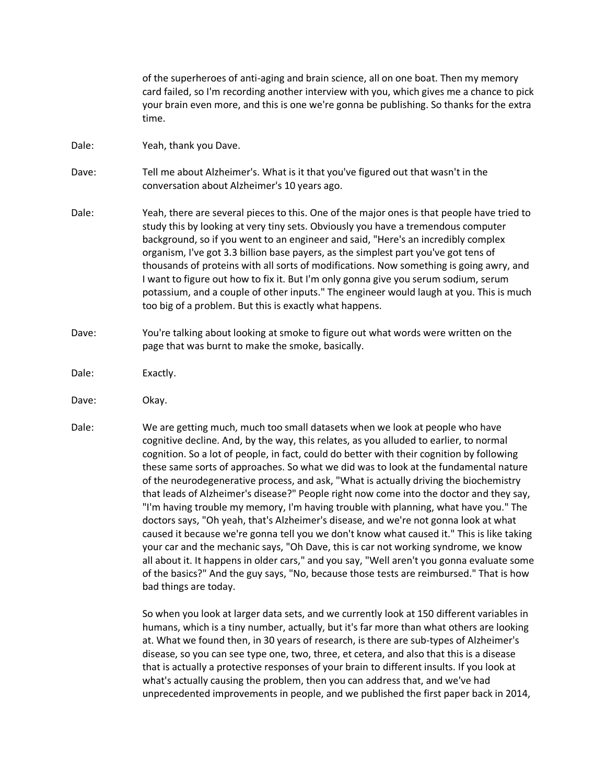|       | of the superheroes of anti-aging and brain science, all on one boat. Then my memory<br>card failed, so I'm recording another interview with you, which gives me a chance to pick<br>your brain even more, and this is one we're gonna be publishing. So thanks for the extra<br>time.                                                                                                                                                                                                                                                                                                                                                                                                               |
|-------|-----------------------------------------------------------------------------------------------------------------------------------------------------------------------------------------------------------------------------------------------------------------------------------------------------------------------------------------------------------------------------------------------------------------------------------------------------------------------------------------------------------------------------------------------------------------------------------------------------------------------------------------------------------------------------------------------------|
| Dale: | Yeah, thank you Dave.                                                                                                                                                                                                                                                                                                                                                                                                                                                                                                                                                                                                                                                                               |
| Dave: | Tell me about Alzheimer's. What is it that you've figured out that wasn't in the<br>conversation about Alzheimer's 10 years ago.                                                                                                                                                                                                                                                                                                                                                                                                                                                                                                                                                                    |
| Dale: | Yeah, there are several pieces to this. One of the major ones is that people have tried to<br>study this by looking at very tiny sets. Obviously you have a tremendous computer<br>background, so if you went to an engineer and said, "Here's an incredibly complex<br>organism, I've got 3.3 billion base payers, as the simplest part you've got tens of<br>thousands of proteins with all sorts of modifications. Now something is going awry, and<br>I want to figure out how to fix it. But I'm only gonna give you serum sodium, serum<br>potassium, and a couple of other inputs." The engineer would laugh at you. This is much<br>too big of a problem. But this is exactly what happens. |
| Dave: | You're talking about looking at smoke to figure out what words were written on the<br>page that was burnt to make the smoke, basically.                                                                                                                                                                                                                                                                                                                                                                                                                                                                                                                                                             |
| Dale: | Exactly.                                                                                                                                                                                                                                                                                                                                                                                                                                                                                                                                                                                                                                                                                            |

- Dave: Okay.
- Dale: We are getting much, much too small datasets when we look at people who have cognitive decline. And, by the way, this relates, as you alluded to earlier, to normal cognition. So a lot of people, in fact, could do better with their cognition by following these same sorts of approaches. So what we did was to look at the fundamental nature of the neurodegenerative process, and ask, "What is actually driving the biochemistry that leads of Alzheimer's disease?" People right now come into the doctor and they say, "I'm having trouble my memory, I'm having trouble with planning, what have you." The doctors says, "Oh yeah, that's Alzheimer's disease, and we're not gonna look at what caused it because we're gonna tell you we don't know what caused it." This is like taking your car and the mechanic says, "Oh Dave, this is car not working syndrome, we know all about it. It happens in older cars," and you say, "Well aren't you gonna evaluate some of the basics?" And the guy says, "No, because those tests are reimbursed." That is how bad things are today.

So when you look at larger data sets, and we currently look at 150 different variables in humans, which is a tiny number, actually, but it's far more than what others are looking at. What we found then, in 30 years of research, is there are sub-types of Alzheimer's disease, so you can see type one, two, three, et cetera, and also that this is a disease that is actually a protective responses of your brain to different insults. If you look at what's actually causing the problem, then you can address that, and we've had unprecedented improvements in people, and we published the first paper back in 2014,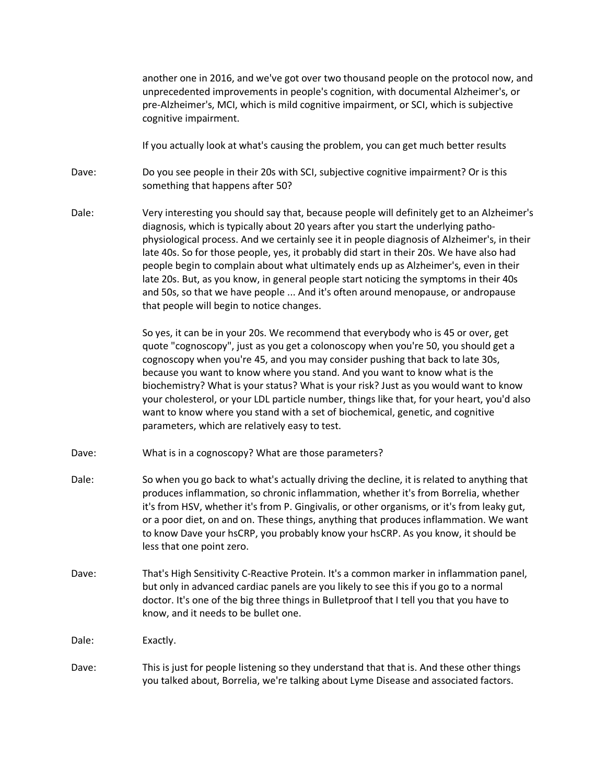another one in 2016, and we've got over two thousand people on the protocol now, and unprecedented improvements in people's cognition, with documental Alzheimer's, or pre-Alzheimer's, MCI, which is mild cognitive impairment, or SCI, which is subjective cognitive impairment.

If you actually look at what's causing the problem, you can get much better results

Dave: Do you see people in their 20s with SCI, subjective cognitive impairment? Or is this something that happens after 50?

Dale: Very interesting you should say that, because people will definitely get to an Alzheimer's diagnosis, which is typically about 20 years after you start the underlying pathophysiological process. And we certainly see it in people diagnosis of Alzheimer's, in their late 40s. So for those people, yes, it probably did start in their 20s. We have also had people begin to complain about what ultimately ends up as Alzheimer's, even in their late 20s. But, as you know, in general people start noticing the symptoms in their 40s and 50s, so that we have people ... And it's often around menopause, or andropause that people will begin to notice changes.

> So yes, it can be in your 20s. We recommend that everybody who is 45 or over, get quote "cognoscopy", just as you get a colonoscopy when you're 50, you should get a cognoscopy when you're 45, and you may consider pushing that back to late 30s, because you want to know where you stand. And you want to know what is the biochemistry? What is your status? What is your risk? Just as you would want to know your cholesterol, or your LDL particle number, things like that, for your heart, you'd also want to know where you stand with a set of biochemical, genetic, and cognitive parameters, which are relatively easy to test.

- Dave: What is in a cognoscopy? What are those parameters?
- Dale: So when you go back to what's actually driving the decline, it is related to anything that produces inflammation, so chronic inflammation, whether it's from Borrelia, whether it's from HSV, whether it's from P. Gingivalis, or other organisms, or it's from leaky gut, or a poor diet, on and on. These things, anything that produces inflammation. We want to know Dave your hsCRP, you probably know your hsCRP. As you know, it should be less that one point zero.
- Dave: That's High Sensitivity C-Reactive Protein. It's a common marker in inflammation panel, but only in advanced cardiac panels are you likely to see this if you go to a normal doctor. It's one of the big three things in Bulletproof that I tell you that you have to know, and it needs to be bullet one.

Dale: Exactly.

Dave: This is just for people listening so they understand that that is. And these other things you talked about, Borrelia, we're talking about Lyme Disease and associated factors.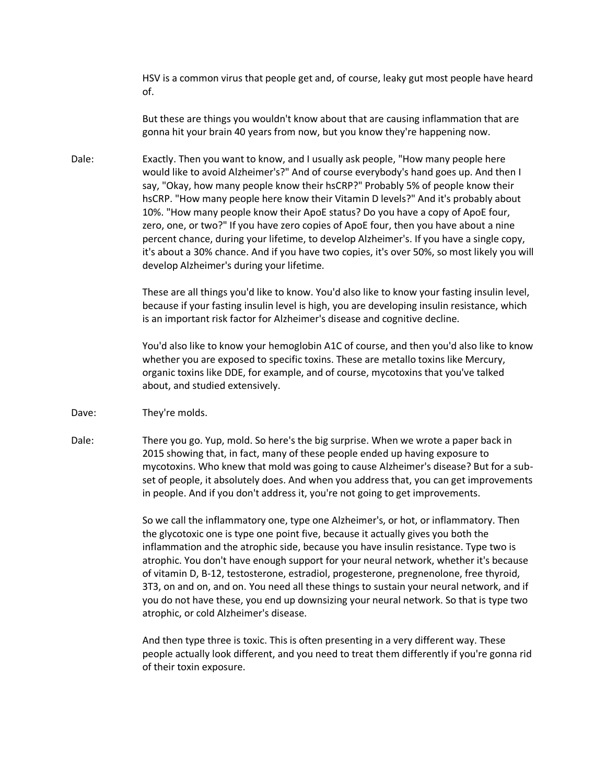HSV is a common virus that people get and, of course, leaky gut most people have heard of.

But these are things you wouldn't know about that are causing inflammation that are gonna hit your brain 40 years from now, but you know they're happening now.

Dale: Exactly. Then you want to know, and I usually ask people, "How many people here would like to avoid Alzheimer's?" And of course everybody's hand goes up. And then I say, "Okay, how many people know their hsCRP?" Probably 5% of people know their hsCRP. "How many people here know their Vitamin D levels?" And it's probably about 10%. "How many people know their ApoE status? Do you have a copy of ApoE four, zero, one, or two?" If you have zero copies of ApoE four, then you have about a nine percent chance, during your lifetime, to develop Alzheimer's. If you have a single copy, it's about a 30% chance. And if you have two copies, it's over 50%, so most likely you will develop Alzheimer's during your lifetime.

> These are all things you'd like to know. You'd also like to know your fasting insulin level, because if your fasting insulin level is high, you are developing insulin resistance, which is an important risk factor for Alzheimer's disease and cognitive decline.

> You'd also like to know your hemoglobin A1C of course, and then you'd also like to know whether you are exposed to specific toxins. These are metallo toxins like Mercury, organic toxins like DDE, for example, and of course, mycotoxins that you've talked about, and studied extensively.

- Dave: They're molds.
- Dale: There you go. Yup, mold. So here's the big surprise. When we wrote a paper back in 2015 showing that, in fact, many of these people ended up having exposure to mycotoxins. Who knew that mold was going to cause Alzheimer's disease? But for a subset of people, it absolutely does. And when you address that, you can get improvements in people. And if you don't address it, you're not going to get improvements.

So we call the inflammatory one, type one Alzheimer's, or hot, or inflammatory. Then the glycotoxic one is type one point five, because it actually gives you both the inflammation and the atrophic side, because you have insulin resistance. Type two is atrophic. You don't have enough support for your neural network, whether it's because of vitamin D, B-12, testosterone, estradiol, progesterone, pregnenolone, free thyroid, 3T3, on and on, and on. You need all these things to sustain your neural network, and if you do not have these, you end up downsizing your neural network. So that is type two atrophic, or cold Alzheimer's disease.

And then type three is toxic. This is often presenting in a very different way. These people actually look different, and you need to treat them differently if you're gonna rid of their toxin exposure.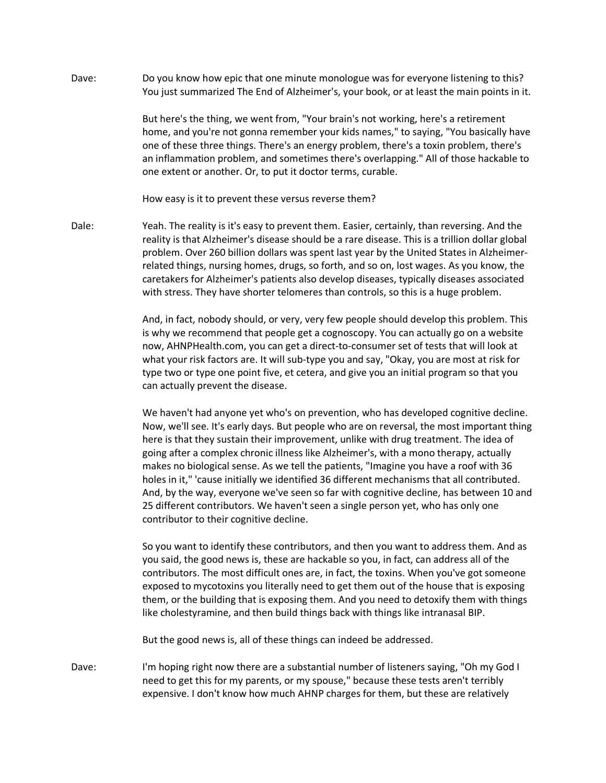Dave: Do you know how epic that one minute monologue was for everyone listening to this? You just summarized The End of Alzheimer's, your book, or at least the main points in it.

> But here's the thing, we went from, "Your brain's not working, here's a retirement home, and you're not gonna remember your kids names," to saying, "You basically have one of these three things. There's an energy problem, there's a toxin problem, there's an inflammation problem, and sometimes there's overlapping." All of those hackable to one extent or another. Or, to put it doctor terms, curable.

How easy is it to prevent these versus reverse them?

Dale: Yeah. The reality is it's easy to prevent them. Easier, certainly, than reversing. And the reality is that Alzheimer's disease should be a rare disease. This is a trillion dollar global problem. Over 260 billion dollars was spent last year by the United States in Alzheimerrelated things, nursing homes, drugs, so forth, and so on, lost wages. As you know, the caretakers for Alzheimer's patients also develop diseases, typically diseases associated with stress. They have shorter telomeres than controls, so this is a huge problem.

> And, in fact, nobody should, or very, very few people should develop this problem. This is why we recommend that people get a cognoscopy. You can actually go on a website now, AHNPHealth.com, you can get a direct-to-consumer set of tests that will look at what your risk factors are. It will sub-type you and say, "Okay, you are most at risk for type two or type one point five, et cetera, and give you an initial program so that you can actually prevent the disease.

We haven't had anyone yet who's on prevention, who has developed cognitive decline. Now, we'll see. It's early days. But people who are on reversal, the most important thing here is that they sustain their improvement, unlike with drug treatment. The idea of going after a complex chronic illness like Alzheimer's, with a mono therapy, actually makes no biological sense. As we tell the patients, "Imagine you have a roof with 36 holes in it," 'cause initially we identified 36 different mechanisms that all contributed. And, by the way, everyone we've seen so far with cognitive decline, has between 10 and 25 different contributors. We haven't seen a single person yet, who has only one contributor to their cognitive decline.

So you want to identify these contributors, and then you want to address them. And as you said, the good news is, these are hackable so you, in fact, can address all of the contributors. The most difficult ones are, in fact, the toxins. When you've got someone exposed to mycotoxins you literally need to get them out of the house that is exposing them, or the building that is exposing them. And you need to detoxify them with things like cholestyramine, and then build things back with things like intranasal BIP.

But the good news is, all of these things can indeed be addressed.

Dave: I'm hoping right now there are a substantial number of listeners saying, "Oh my God I need to get this for my parents, or my spouse," because these tests aren't terribly expensive. I don't know how much AHNP charges for them, but these are relatively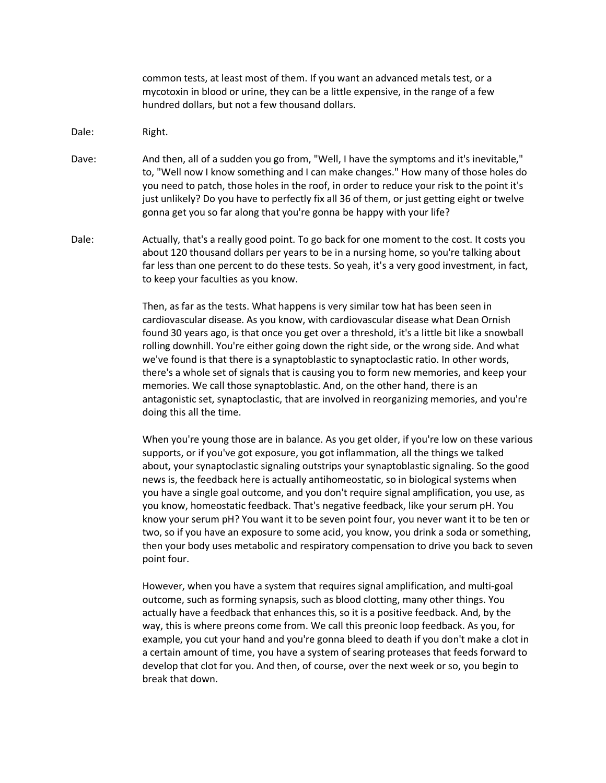common tests, at least most of them. If you want an advanced metals test, or a mycotoxin in blood or urine, they can be a little expensive, in the range of a few hundred dollars, but not a few thousand dollars.

- Dale: Right.
- Dave: And then, all of a sudden you go from, "Well, I have the symptoms and it's inevitable," to, "Well now I know something and I can make changes." How many of those holes do you need to patch, those holes in the roof, in order to reduce your risk to the point it's just unlikely? Do you have to perfectly fix all 36 of them, or just getting eight or twelve gonna get you so far along that you're gonna be happy with your life?
- Dale: Actually, that's a really good point. To go back for one moment to the cost. It costs you about 120 thousand dollars per years to be in a nursing home, so you're talking about far less than one percent to do these tests. So yeah, it's a very good investment, in fact, to keep your faculties as you know.

Then, as far as the tests. What happens is very similar tow hat has been seen in cardiovascular disease. As you know, with cardiovascular disease what Dean Ornish found 30 years ago, is that once you get over a threshold, it's a little bit like a snowball rolling downhill. You're either going down the right side, or the wrong side. And what we've found is that there is a synaptoblastic to synaptoclastic ratio. In other words, there's a whole set of signals that is causing you to form new memories, and keep your memories. We call those synaptoblastic. And, on the other hand, there is an antagonistic set, synaptoclastic, that are involved in reorganizing memories, and you're doing this all the time.

When you're young those are in balance. As you get older, if you're low on these various supports, or if you've got exposure, you got inflammation, all the things we talked about, your synaptoclastic signaling outstrips your synaptoblastic signaling. So the good news is, the feedback here is actually antihomeostatic, so in biological systems when you have a single goal outcome, and you don't require signal amplification, you use, as you know, homeostatic feedback. That's negative feedback, like your serum pH. You know your serum pH? You want it to be seven point four, you never want it to be ten or two, so if you have an exposure to some acid, you know, you drink a soda or something, then your body uses metabolic and respiratory compensation to drive you back to seven point four.

However, when you have a system that requires signal amplification, and multi-goal outcome, such as forming synapsis, such as blood clotting, many other things. You actually have a feedback that enhances this, so it is a positive feedback. And, by the way, this is where preons come from. We call this preonic loop feedback. As you, for example, you cut your hand and you're gonna bleed to death if you don't make a clot in a certain amount of time, you have a system of searing proteases that feeds forward to develop that clot for you. And then, of course, over the next week or so, you begin to break that down.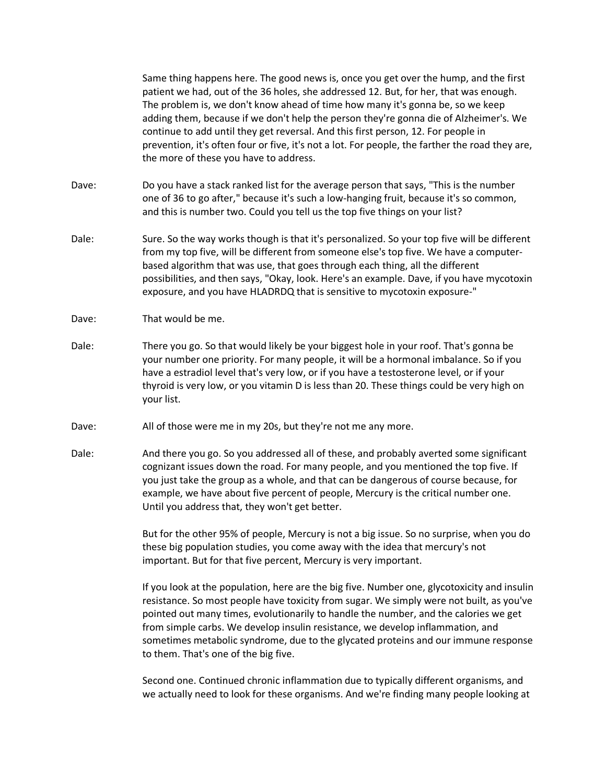Same thing happens here. The good news is, once you get over the hump, and the first patient we had, out of the 36 holes, she addressed 12. But, for her, that was enough. The problem is, we don't know ahead of time how many it's gonna be, so we keep adding them, because if we don't help the person they're gonna die of Alzheimer's. We continue to add until they get reversal. And this first person, 12. For people in prevention, it's often four or five, it's not a lot. For people, the farther the road they are, the more of these you have to address.

- Dave: Do you have a stack ranked list for the average person that says, "This is the number one of 36 to go after," because it's such a low-hanging fruit, because it's so common, and this is number two. Could you tell us the top five things on your list?
- Dale: Sure. So the way works though is that it's personalized. So your top five will be different from my top five, will be different from someone else's top five. We have a computerbased algorithm that was use, that goes through each thing, all the different possibilities, and then says, "Okay, look. Here's an example. Dave, if you have mycotoxin exposure, and you have HLADRDQ that is sensitive to mycotoxin exposure-"
- Dave: That would be me.
- Dale: There you go. So that would likely be your biggest hole in your roof. That's gonna be your number one priority. For many people, it will be a hormonal imbalance. So if you have a estradiol level that's very low, or if you have a testosterone level, or if your thyroid is very low, or you vitamin D is less than 20. These things could be very high on your list.
- Dave: All of those were me in my 20s, but they're not me any more.
- Dale: And there you go. So you addressed all of these, and probably averted some significant cognizant issues down the road. For many people, and you mentioned the top five. If you just take the group as a whole, and that can be dangerous of course because, for example, we have about five percent of people, Mercury is the critical number one. Until you address that, they won't get better.

But for the other 95% of people, Mercury is not a big issue. So no surprise, when you do these big population studies, you come away with the idea that mercury's not important. But for that five percent, Mercury is very important.

If you look at the population, here are the big five. Number one, glycotoxicity and insulin resistance. So most people have toxicity from sugar. We simply were not built, as you've pointed out many times, evolutionarily to handle the number, and the calories we get from simple carbs. We develop insulin resistance, we develop inflammation, and sometimes metabolic syndrome, due to the glycated proteins and our immune response to them. That's one of the big five.

Second one. Continued chronic inflammation due to typically different organisms, and we actually need to look for these organisms. And we're finding many people looking at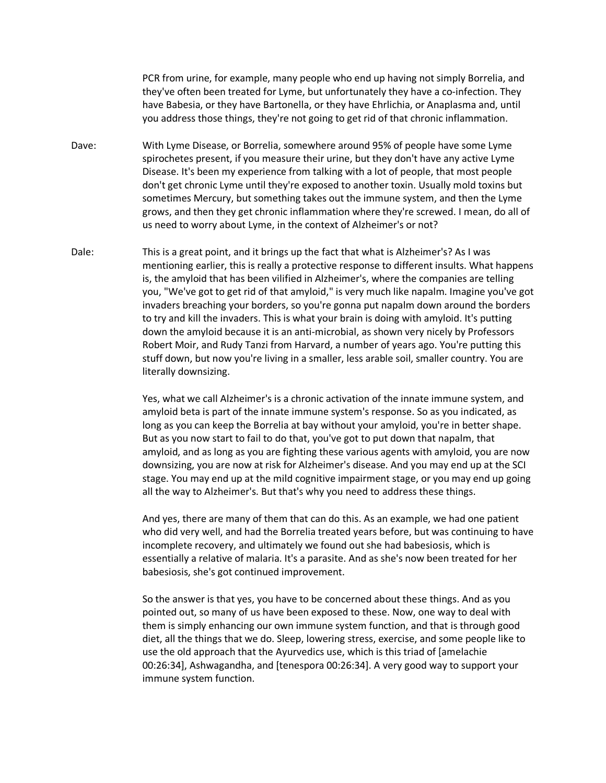PCR from urine, for example, many people who end up having not simply Borrelia, and they've often been treated for Lyme, but unfortunately they have a co-infection. They have Babesia, or they have Bartonella, or they have Ehrlichia, or Anaplasma and, until you address those things, they're not going to get rid of that chronic inflammation.

- Dave: With Lyme Disease, or Borrelia, somewhere around 95% of people have some Lyme spirochetes present, if you measure their urine, but they don't have any active Lyme Disease. It's been my experience from talking with a lot of people, that most people don't get chronic Lyme until they're exposed to another toxin. Usually mold toxins but sometimes Mercury, but something takes out the immune system, and then the Lyme grows, and then they get chronic inflammation where they're screwed. I mean, do all of us need to worry about Lyme, in the context of Alzheimer's or not?
- Dale: This is a great point, and it brings up the fact that what is Alzheimer's? As I was mentioning earlier, this is really a protective response to different insults. What happens is, the amyloid that has been vilified in Alzheimer's, where the companies are telling you, "We've got to get rid of that amyloid," is very much like napalm. Imagine you've got invaders breaching your borders, so you're gonna put napalm down around the borders to try and kill the invaders. This is what your brain is doing with amyloid. It's putting down the amyloid because it is an anti-microbial, as shown very nicely by Professors Robert Moir, and Rudy Tanzi from Harvard, a number of years ago. You're putting this stuff down, but now you're living in a smaller, less arable soil, smaller country. You are literally downsizing.

Yes, what we call Alzheimer's is a chronic activation of the innate immune system, and amyloid beta is part of the innate immune system's response. So as you indicated, as long as you can keep the Borrelia at bay without your amyloid, you're in better shape. But as you now start to fail to do that, you've got to put down that napalm, that amyloid, and as long as you are fighting these various agents with amyloid, you are now downsizing, you are now at risk for Alzheimer's disease. And you may end up at the SCI stage. You may end up at the mild cognitive impairment stage, or you may end up going all the way to Alzheimer's. But that's why you need to address these things.

And yes, there are many of them that can do this. As an example, we had one patient who did very well, and had the Borrelia treated years before, but was continuing to have incomplete recovery, and ultimately we found out she had babesiosis, which is essentially a relative of malaria. It's a parasite. And as she's now been treated for her babesiosis, she's got continued improvement.

So the answer is that yes, you have to be concerned about these things. And as you pointed out, so many of us have been exposed to these. Now, one way to deal with them is simply enhancing our own immune system function, and that is through good diet, all the things that we do. Sleep, lowering stress, exercise, and some people like to use the old approach that the Ayurvedics use, which is this triad of [amelachie 00:26:34], Ashwagandha, and [tenespora 00:26:34]. A very good way to support your immune system function.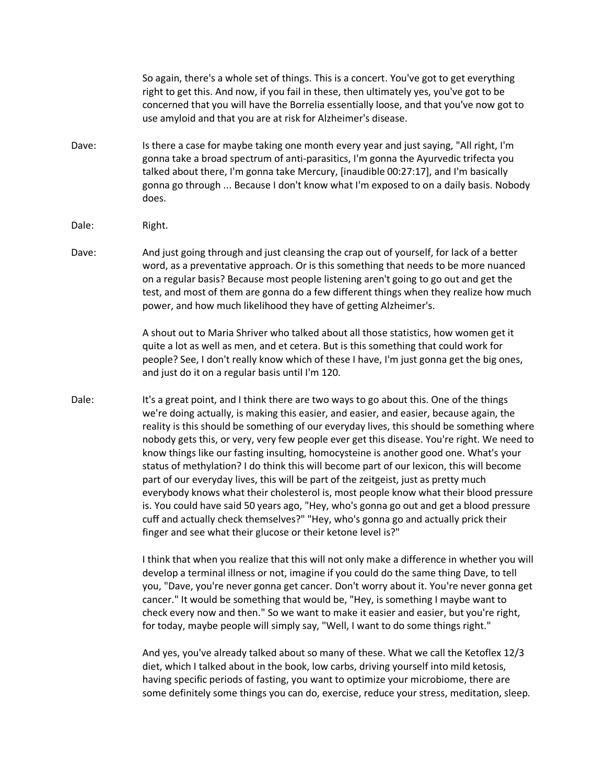So again, there's a whole set of things. This is a concert. You've got to get everything right to get this. And now, if you fail in these, then ultimately yes, you've got to be concerned that you will have the Borrelia essentially loose, and that you've now got to use amyloid and that you are at risk for Alzheimer's disease.

- Dave: Is there a case for maybe taking one month every year and just saying, "All right, I'm gonna take a broad spectrum of anti-parasitics, I'm gonna the Ayurvedic trifecta you talked about there, I'm gonna take Mercury, [inaudible 00:27:17], and I'm basically gonna go through ... Because I don't know what I'm exposed to on a daily basis. Nobody does.
- Dale: Right.
- Dave: And just going through and just cleansing the crap out of yourself, for lack of a better word, as a preventative approach. Or is this something that needs to be more nuanced on a regular basis? Because most people listening aren't going to go out and get the test, and most of them are gonna do a few different things when they realize how much power, and how much likelihood they have of getting Alzheimer's.

A shout out to Maria Shriver who talked about all those statistics, how women get it quite a lot as well as men, and et cetera. But is this something that could work for people? See, I don't really know which of these I have, I'm just gonna get the big ones, and just do it on a regular basis until I'm 120.

Dale: It's a great point, and I think there are two ways to go about this. One of the things we're doing actually, is making this easier, and easier, and easier, because again, the reality is this should be something of our everyday lives, this should be something where nobody gets this, or very, very few people ever get this disease. You're right. We need to know things like our fasting insulting, homocysteine is another good one. What's your status of methylation? I do think this will become part of our lexicon, this will become part of our everyday lives, this will be part of the zeitgeist, just as pretty much everybody knows what their cholesterol is, most people know what their blood pressure is. You could have said 50 years ago, "Hey, who's gonna go out and get a blood pressure cuff and actually check themselves?" "Hey, who's gonna go and actually prick their finger and see what their glucose or their ketone level is?"

> I think that when you realize that this will not only make a difference in whether you will develop a terminal illness or not, imagine if you could do the same thing Dave, to tell you, "Dave, you're never gonna get cancer. Don't worry about it. You're never gonna get cancer." It would be something that would be, "Hey, is something I maybe want to check every now and then." So we want to make it easier and easier, but you're right, for today, maybe people will simply say, "Well, I want to do some things right."

> And yes, you've already talked about so many of these. What we call the Ketoflex 12/3 diet, which I talked about in the book, low carbs, driving yourself into mild ketosis, having specific periods of fasting, you want to optimize your microbiome, there are some definitely some things you can do, exercise, reduce your stress, meditation, sleep.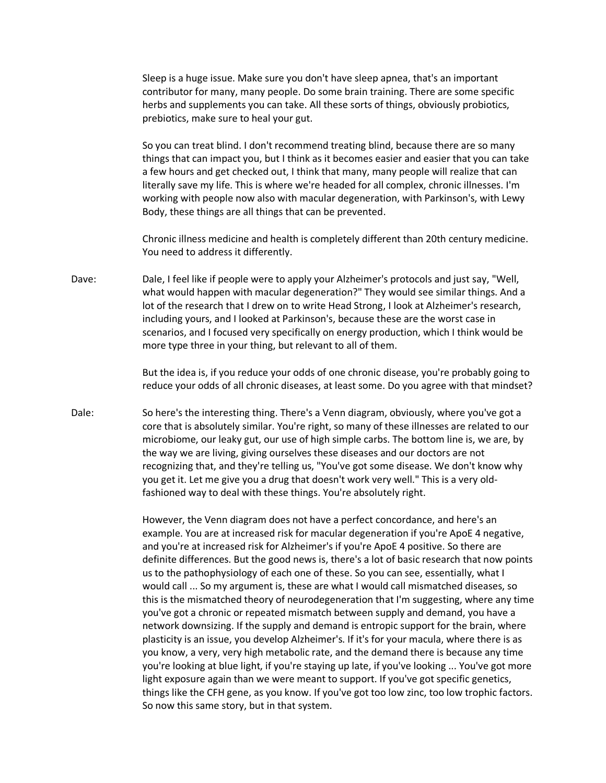Sleep is a huge issue. Make sure you don't have sleep apnea, that's an important contributor for many, many people. Do some brain training. There are some specific herbs and supplements you can take. All these sorts of things, obviously probiotics, prebiotics, make sure to heal your gut.

So you can treat blind. I don't recommend treating blind, because there are so many things that can impact you, but I think as it becomes easier and easier that you can take a few hours and get checked out, I think that many, many people will realize that can literally save my life. This is where we're headed for all complex, chronic illnesses. I'm working with people now also with macular degeneration, with Parkinson's, with Lewy Body, these things are all things that can be prevented.

Chronic illness medicine and health is completely different than 20th century medicine. You need to address it differently.

Dave: Dale, I feel like if people were to apply your Alzheimer's protocols and just say, "Well, what would happen with macular degeneration?" They would see similar things. And a lot of the research that I drew on to write Head Strong, I look at Alzheimer's research, including yours, and I looked at Parkinson's, because these are the worst case in scenarios, and I focused very specifically on energy production, which I think would be more type three in your thing, but relevant to all of them.

> But the idea is, if you reduce your odds of one chronic disease, you're probably going to reduce your odds of all chronic diseases, at least some. Do you agree with that mindset?

Dale: So here's the interesting thing. There's a Venn diagram, obviously, where you've got a core that is absolutely similar. You're right, so many of these illnesses are related to our microbiome, our leaky gut, our use of high simple carbs. The bottom line is, we are, by the way we are living, giving ourselves these diseases and our doctors are not recognizing that, and they're telling us, "You've got some disease. We don't know why you get it. Let me give you a drug that doesn't work very well." This is a very oldfashioned way to deal with these things. You're absolutely right.

> However, the Venn diagram does not have a perfect concordance, and here's an example. You are at increased risk for macular degeneration if you're ApoE 4 negative, and you're at increased risk for Alzheimer's if you're ApoE 4 positive. So there are definite differences. But the good news is, there's a lot of basic research that now points us to the pathophysiology of each one of these. So you can see, essentially, what I would call ... So my argument is, these are what I would call mismatched diseases, so this is the mismatched theory of neurodegeneration that I'm suggesting, where any time you've got a chronic or repeated mismatch between supply and demand, you have a network downsizing. If the supply and demand is entropic support for the brain, where plasticity is an issue, you develop Alzheimer's. If it's for your macula, where there is as you know, a very, very high metabolic rate, and the demand there is because any time you're looking at blue light, if you're staying up late, if you've looking ... You've got more light exposure again than we were meant to support. If you've got specific genetics, things like the CFH gene, as you know. If you've got too low zinc, too low trophic factors. So now this same story, but in that system.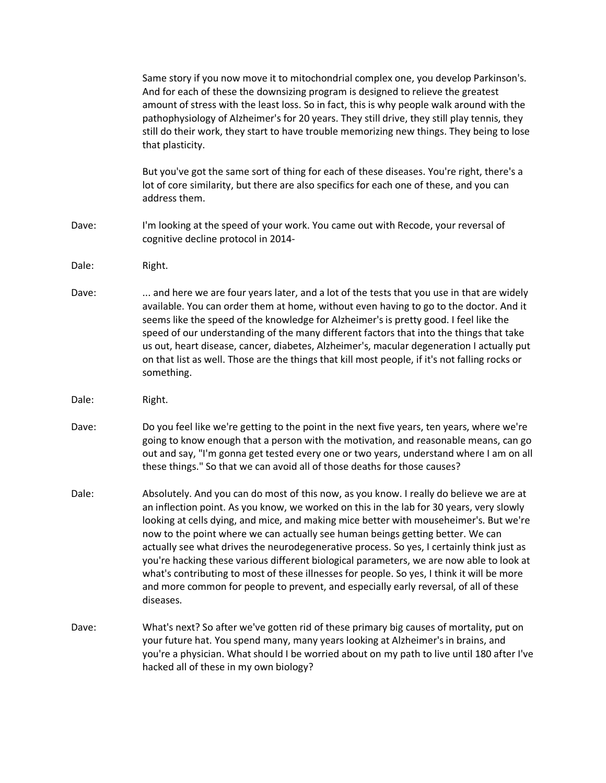Same story if you now move it to mitochondrial complex one, you develop Parkinson's. And for each of these the downsizing program is designed to relieve the greatest amount of stress with the least loss. So in fact, this is why people walk around with the pathophysiology of Alzheimer's for 20 years. They still drive, they still play tennis, they still do their work, they start to have trouble memorizing new things. They being to lose that plasticity.

But you've got the same sort of thing for each of these diseases. You're right, there's a lot of core similarity, but there are also specifics for each one of these, and you can address them.

- Dave: I'm looking at the speed of your work. You came out with Recode, your reversal of cognitive decline protocol in 2014-
- Dale: Right.
- Dave: ... and here we are four years later, and a lot of the tests that you use in that are widely available. You can order them at home, without even having to go to the doctor. And it seems like the speed of the knowledge for Alzheimer's is pretty good. I feel like the speed of our understanding of the many different factors that into the things that take us out, heart disease, cancer, diabetes, Alzheimer's, macular degeneration I actually put on that list as well. Those are the things that kill most people, if it's not falling rocks or something.
- Dale: Right.
- Dave: Do you feel like we're getting to the point in the next five years, ten years, where we're going to know enough that a person with the motivation, and reasonable means, can go out and say, "I'm gonna get tested every one or two years, understand where I am on all these things." So that we can avoid all of those deaths for those causes?
- Dale: Absolutely. And you can do most of this now, as you know. I really do believe we are at an inflection point. As you know, we worked on this in the lab for 30 years, very slowly looking at cells dying, and mice, and making mice better with mouseheimer's. But we're now to the point where we can actually see human beings getting better. We can actually see what drives the neurodegenerative process. So yes, I certainly think just as you're hacking these various different biological parameters, we are now able to look at what's contributing to most of these illnesses for people. So yes, I think it will be more and more common for people to prevent, and especially early reversal, of all of these diseases.
- Dave: What's next? So after we've gotten rid of these primary big causes of mortality, put on your future hat. You spend many, many years looking at Alzheimer's in brains, and you're a physician. What should I be worried about on my path to live until 180 after I've hacked all of these in my own biology?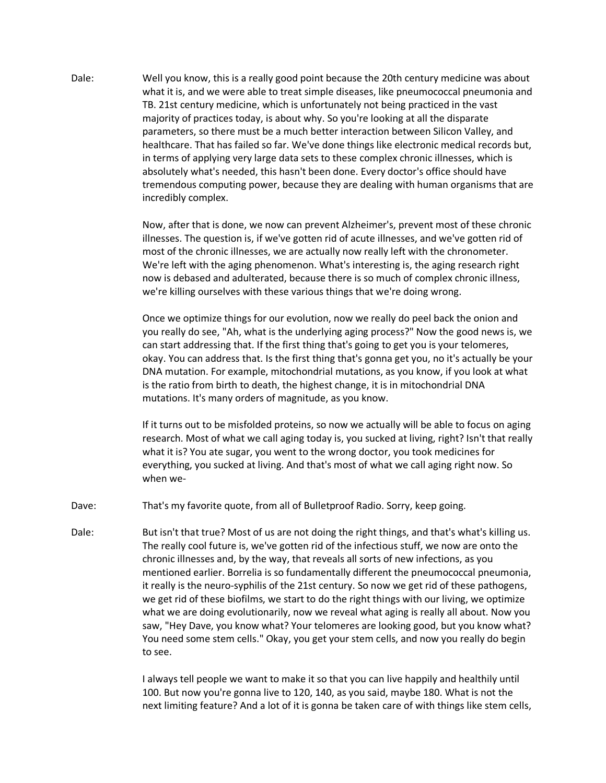Dale: Well you know, this is a really good point because the 20th century medicine was about what it is, and we were able to treat simple diseases, like pneumococcal pneumonia and TB. 21st century medicine, which is unfortunately not being practiced in the vast majority of practices today, is about why. So you're looking at all the disparate parameters, so there must be a much better interaction between Silicon Valley, and healthcare. That has failed so far. We've done things like electronic medical records but, in terms of applying very large data sets to these complex chronic illnesses, which is absolutely what's needed, this hasn't been done. Every doctor's office should have tremendous computing power, because they are dealing with human organisms that are incredibly complex.

> Now, after that is done, we now can prevent Alzheimer's, prevent most of these chronic illnesses. The question is, if we've gotten rid of acute illnesses, and we've gotten rid of most of the chronic illnesses, we are actually now really left with the chronometer. We're left with the aging phenomenon. What's interesting is, the aging research right now is debased and adulterated, because there is so much of complex chronic illness, we're killing ourselves with these various things that we're doing wrong.

> Once we optimize things for our evolution, now we really do peel back the onion and you really do see, "Ah, what is the underlying aging process?" Now the good news is, we can start addressing that. If the first thing that's going to get you is your telomeres, okay. You can address that. Is the first thing that's gonna get you, no it's actually be your DNA mutation. For example, mitochondrial mutations, as you know, if you look at what is the ratio from birth to death, the highest change, it is in mitochondrial DNA mutations. It's many orders of magnitude, as you know.

> If it turns out to be misfolded proteins, so now we actually will be able to focus on aging research. Most of what we call aging today is, you sucked at living, right? Isn't that really what it is? You ate sugar, you went to the wrong doctor, you took medicines for everything, you sucked at living. And that's most of what we call aging right now. So when we-

- Dave: That's my favorite quote, from all of Bulletproof Radio. Sorry, keep going.
- Dale: But isn't that true? Most of us are not doing the right things, and that's what's killing us. The really cool future is, we've gotten rid of the infectious stuff, we now are onto the chronic illnesses and, by the way, that reveals all sorts of new infections, as you mentioned earlier. Borrelia is so fundamentally different the pneumococcal pneumonia, it really is the neuro-syphilis of the 21st century. So now we get rid of these pathogens, we get rid of these biofilms, we start to do the right things with our living, we optimize what we are doing evolutionarily, now we reveal what aging is really all about. Now you saw, "Hey Dave, you know what? Your telomeres are looking good, but you know what? You need some stem cells." Okay, you get your stem cells, and now you really do begin to see.

I always tell people we want to make it so that you can live happily and healthily until 100. But now you're gonna live to 120, 140, as you said, maybe 180. What is not the next limiting feature? And a lot of it is gonna be taken care of with things like stem cells,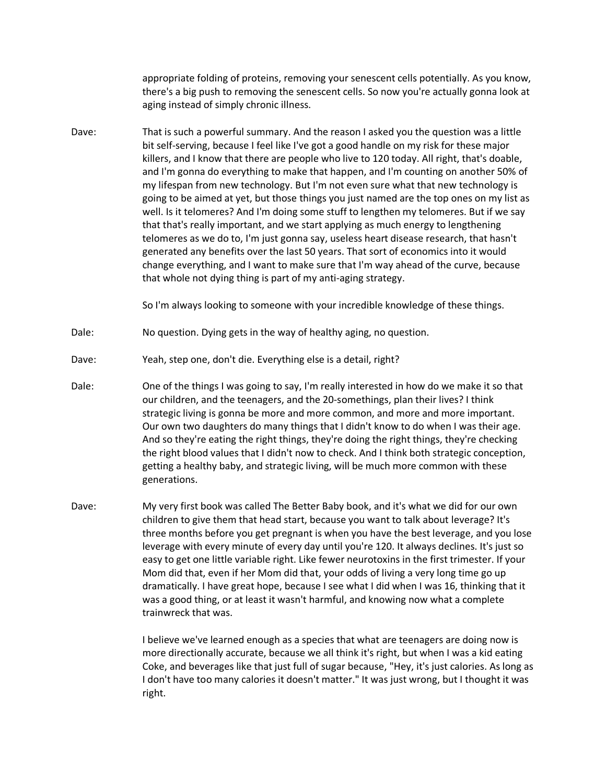appropriate folding of proteins, removing your senescent cells potentially. As you know, there's a big push to removing the senescent cells. So now you're actually gonna look at aging instead of simply chronic illness.

Dave: That is such a powerful summary. And the reason I asked you the question was a little bit self-serving, because I feel like I've got a good handle on my risk for these major killers, and I know that there are people who live to 120 today. All right, that's doable, and I'm gonna do everything to make that happen, and I'm counting on another 50% of my lifespan from new technology. But I'm not even sure what that new technology is going to be aimed at yet, but those things you just named are the top ones on my list as well. Is it telomeres? And I'm doing some stuff to lengthen my telomeres. But if we say that that's really important, and we start applying as much energy to lengthening telomeres as we do to, I'm just gonna say, useless heart disease research, that hasn't generated any benefits over the last 50 years. That sort of economics into it would change everything, and I want to make sure that I'm way ahead of the curve, because that whole not dying thing is part of my anti-aging strategy.

So I'm always looking to someone with your incredible knowledge of these things.

- Dale: No question. Dying gets in the way of healthy aging, no question.
- Dave: Yeah, step one, don't die. Everything else is a detail, right?
- Dale: One of the things I was going to say, I'm really interested in how do we make it so that our children, and the teenagers, and the 20-somethings, plan their lives? I think strategic living is gonna be more and more common, and more and more important. Our own two daughters do many things that I didn't know to do when I was their age. And so they're eating the right things, they're doing the right things, they're checking the right blood values that I didn't now to check. And I think both strategic conception, getting a healthy baby, and strategic living, will be much more common with these generations.
- Dave: My very first book was called The Better Baby book, and it's what we did for our own children to give them that head start, because you want to talk about leverage? It's three months before you get pregnant is when you have the best leverage, and you lose leverage with every minute of every day until you're 120. It always declines. It's just so easy to get one little variable right. Like fewer neurotoxins in the first trimester. If your Mom did that, even if her Mom did that, your odds of living a very long time go up dramatically. I have great hope, because I see what I did when I was 16, thinking that it was a good thing, or at least it wasn't harmful, and knowing now what a complete trainwreck that was.

I believe we've learned enough as a species that what are teenagers are doing now is more directionally accurate, because we all think it's right, but when I was a kid eating Coke, and beverages like that just full of sugar because, "Hey, it's just calories. As long as I don't have too many calories it doesn't matter." It was just wrong, but I thought it was right.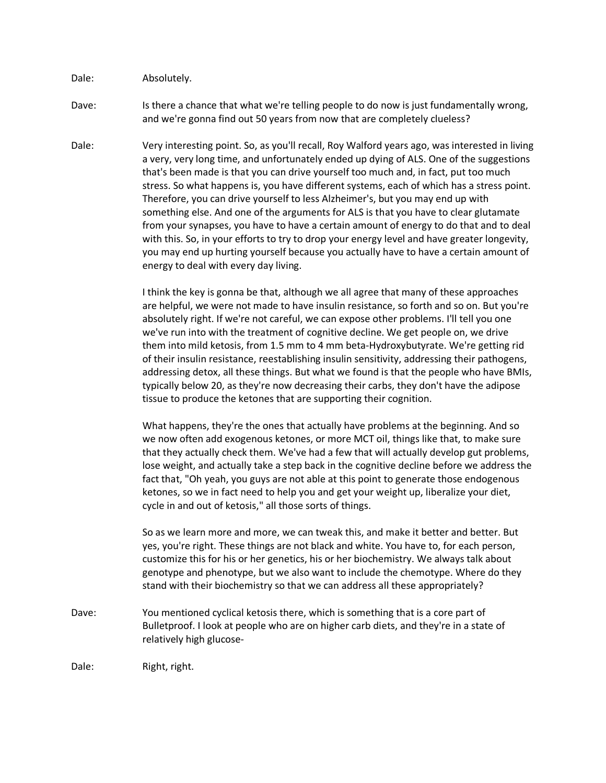Dale: Absolutely.

Dave: Is there a chance that what we're telling people to do now is just fundamentally wrong, and we're gonna find out 50 years from now that are completely clueless?

Dale: Very interesting point. So, as you'll recall, Roy Walford years ago, was interested in living a very, very long time, and unfortunately ended up dying of ALS. One of the suggestions that's been made is that you can drive yourself too much and, in fact, put too much stress. So what happens is, you have different systems, each of which has a stress point. Therefore, you can drive yourself to less Alzheimer's, but you may end up with something else. And one of the arguments for ALS is that you have to clear glutamate from your synapses, you have to have a certain amount of energy to do that and to deal with this. So, in your efforts to try to drop your energy level and have greater longevity, you may end up hurting yourself because you actually have to have a certain amount of energy to deal with every day living.

> I think the key is gonna be that, although we all agree that many of these approaches are helpful, we were not made to have insulin resistance, so forth and so on. But you're absolutely right. If we're not careful, we can expose other problems. I'll tell you one we've run into with the treatment of cognitive decline. We get people on, we drive them into mild ketosis, from 1.5 mm to 4 mm beta-Hydroxybutyrate. We're getting rid of their insulin resistance, reestablishing insulin sensitivity, addressing their pathogens, addressing detox, all these things. But what we found is that the people who have BMIs, typically below 20, as they're now decreasing their carbs, they don't have the adipose tissue to produce the ketones that are supporting their cognition.

> What happens, they're the ones that actually have problems at the beginning. And so we now often add exogenous ketones, or more MCT oil, things like that, to make sure that they actually check them. We've had a few that will actually develop gut problems, lose weight, and actually take a step back in the cognitive decline before we address the fact that, "Oh yeah, you guys are not able at this point to generate those endogenous ketones, so we in fact need to help you and get your weight up, liberalize your diet, cycle in and out of ketosis," all those sorts of things.

So as we learn more and more, we can tweak this, and make it better and better. But yes, you're right. These things are not black and white. You have to, for each person, customize this for his or her genetics, his or her biochemistry. We always talk about genotype and phenotype, but we also want to include the chemotype. Where do they stand with their biochemistry so that we can address all these appropriately?

Dave: You mentioned cyclical ketosis there, which is something that is a core part of Bulletproof. I look at people who are on higher carb diets, and they're in a state of relatively high glucose-

Dale: Right, right.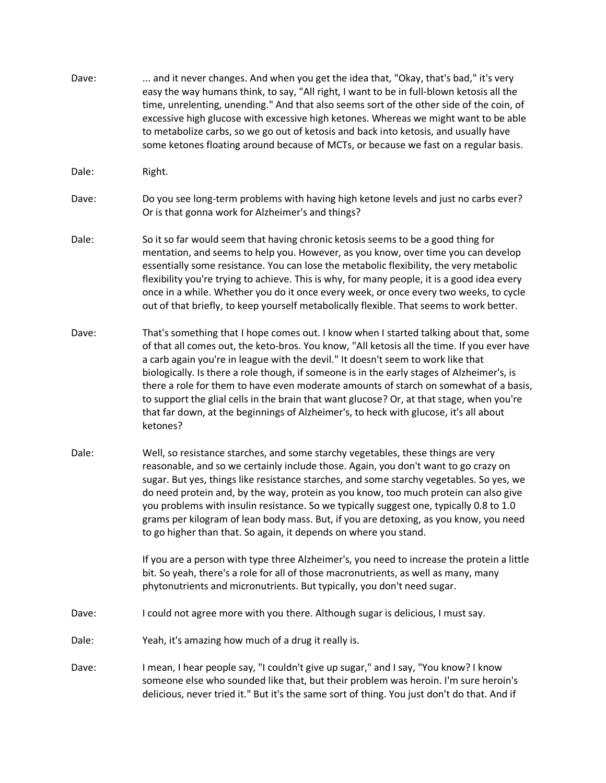- Dave: ... and it never changes. And when you get the idea that, "Okay, that's bad," it's very easy the way humans think, to say, "All right, I want to be in full-blown ketosis all the time, unrelenting, unending." And that also seems sort of the other side of the coin, of excessive high glucose with excessive high ketones. Whereas we might want to be able to metabolize carbs, so we go out of ketosis and back into ketosis, and usually have some ketones floating around because of MCTs, or because we fast on a regular basis. Dale: Right. Dave: Do you see long-term problems with having high ketone levels and just no carbs ever? Or is that gonna work for Alzheimer's and things? Dale: So it so far would seem that having chronic ketosis seems to be a good thing for mentation, and seems to help you. However, as you know, over time you can develop essentially some resistance. You can lose the metabolic flexibility, the very metabolic flexibility you're trying to achieve. This is why, for many people, it is a good idea every once in a while. Whether you do it once every week, or once every two weeks, to cycle out of that briefly, to keep yourself metabolically flexible. That seems to work better. Dave: That's something that I hope comes out. I know when I started talking about that, some of that all comes out, the keto-bros. You know, "All ketosis all the time. If you ever have a carb again you're in league with the devil." It doesn't seem to work like that biologically. Is there a role though, if someone is in the early stages of Alzheimer's, is there a role for them to have even moderate amounts of starch on somewhat of a basis, to support the glial cells in the brain that want glucose? Or, at that stage, when you're that far down, at the beginnings of Alzheimer's, to heck with glucose, it's all about ketones? Dale: Well, so resistance starches, and some starchy vegetables, these things are very reasonable, and so we certainly include those. Again, you don't want to go crazy on sugar. But yes, things like resistance starches, and some starchy vegetables. So yes, we do need protein and, by the way, protein as you know, too much protein can also give you problems with insulin resistance. So we typically suggest one, typically 0.8 to 1.0 grams per kilogram of lean body mass. But, if you are detoxing, as you know, you need to go higher than that. So again, it depends on where you stand. If you are a person with type three Alzheimer's, you need to increase the protein a little bit. So yeah, there's a role for all of those macronutrients, as well as many, many phytonutrients and micronutrients. But typically, you don't need sugar. Dave: I could not agree more with you there. Although sugar is delicious, I must say. Dale: Yeah, it's amazing how much of a drug it really is.
- Dave: I mean, I hear people say, "I couldn't give up sugar," and I say, "You know? I know someone else who sounded like that, but their problem was heroin. I'm sure heroin's delicious, never tried it." But it's the same sort of thing. You just don't do that. And if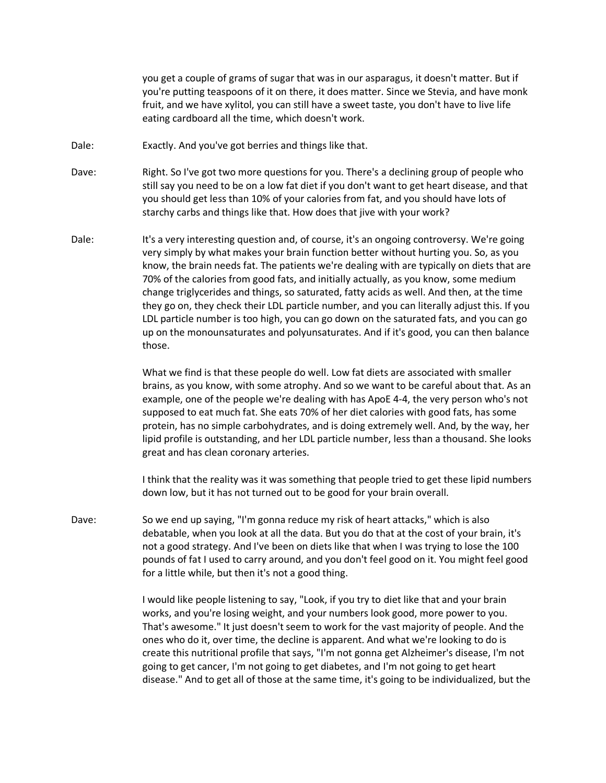you get a couple of grams of sugar that was in our asparagus, it doesn't matter. But if you're putting teaspoons of it on there, it does matter. Since we Stevia, and have monk fruit, and we have xylitol, you can still have a sweet taste, you don't have to live life eating cardboard all the time, which doesn't work.

- Dale: Exactly. And you've got berries and things like that.
- Dave: Right. So I've got two more questions for you. There's a declining group of people who still say you need to be on a low fat diet if you don't want to get heart disease, and that you should get less than 10% of your calories from fat, and you should have lots of starchy carbs and things like that. How does that jive with your work?
- Dale: It's a very interesting question and, of course, it's an ongoing controversy. We're going very simply by what makes your brain function better without hurting you. So, as you know, the brain needs fat. The patients we're dealing with are typically on diets that are 70% of the calories from good fats, and initially actually, as you know, some medium change triglycerides and things, so saturated, fatty acids as well. And then, at the time they go on, they check their LDL particle number, and you can literally adjust this. If you LDL particle number is too high, you can go down on the saturated fats, and you can go up on the monounsaturates and polyunsaturates. And if it's good, you can then balance those.

What we find is that these people do well. Low fat diets are associated with smaller brains, as you know, with some atrophy. And so we want to be careful about that. As an example, one of the people we're dealing with has ApoE 4-4, the very person who's not supposed to eat much fat. She eats 70% of her diet calories with good fats, has some protein, has no simple carbohydrates, and is doing extremely well. And, by the way, her lipid profile is outstanding, and her LDL particle number, less than a thousand. She looks great and has clean coronary arteries.

I think that the reality was it was something that people tried to get these lipid numbers down low, but it has not turned out to be good for your brain overall.

Dave: So we end up saying, "I'm gonna reduce my risk of heart attacks," which is also debatable, when you look at all the data. But you do that at the cost of your brain, it's not a good strategy. And I've been on diets like that when I was trying to lose the 100 pounds of fat I used to carry around, and you don't feel good on it. You might feel good for a little while, but then it's not a good thing.

> I would like people listening to say, "Look, if you try to diet like that and your brain works, and you're losing weight, and your numbers look good, more power to you. That's awesome." It just doesn't seem to work for the vast majority of people. And the ones who do it, over time, the decline is apparent. And what we're looking to do is create this nutritional profile that says, "I'm not gonna get Alzheimer's disease, I'm not going to get cancer, I'm not going to get diabetes, and I'm not going to get heart disease." And to get all of those at the same time, it's going to be individualized, but the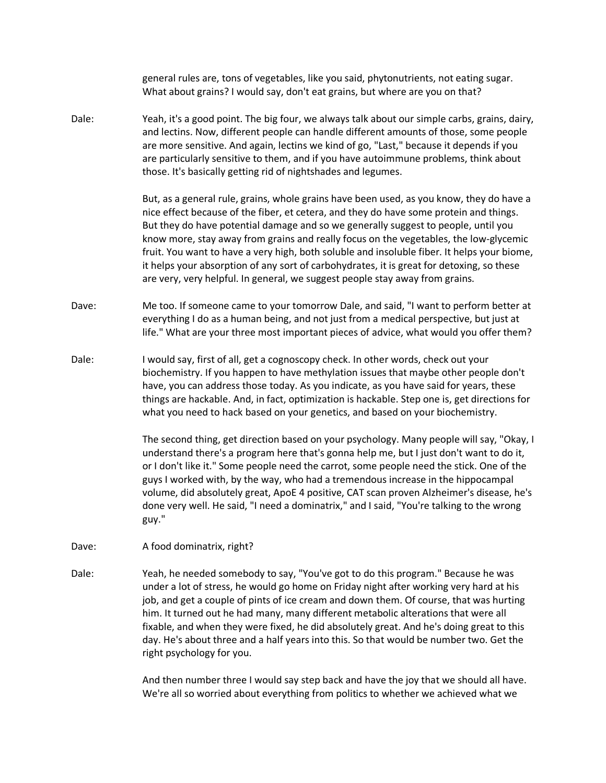general rules are, tons of vegetables, like you said, phytonutrients, not eating sugar. What about grains? I would say, don't eat grains, but where are you on that? Dale: Yeah, it's a good point. The big four, we always talk about our simple carbs, grains, dairy, and lectins. Now, different people can handle different amounts of those, some people are more sensitive. And again, lectins we kind of go, "Last," because it depends if you are particularly sensitive to them, and if you have autoimmune problems, think about those. It's basically getting rid of nightshades and legumes. But, as a general rule, grains, whole grains have been used, as you know, they do have a nice effect because of the fiber, et cetera, and they do have some protein and things. But they do have potential damage and so we generally suggest to people, until you know more, stay away from grains and really focus on the vegetables, the low-glycemic fruit. You want to have a very high, both soluble and insoluble fiber. It helps your biome, it helps your absorption of any sort of carbohydrates, it is great for detoxing, so these are very, very helpful. In general, we suggest people stay away from grains. Dave: Me too. If someone came to your tomorrow Dale, and said, "I want to perform better at everything I do as a human being, and not just from a medical perspective, but just at life." What are your three most important pieces of advice, what would you offer them? Dale: I would say, first of all, get a cognoscopy check. In other words, check out your biochemistry. If you happen to have methylation issues that maybe other people don't have, you can address those today. As you indicate, as you have said for years, these things are hackable. And, in fact, optimization is hackable. Step one is, get directions for what you need to hack based on your genetics, and based on your biochemistry. The second thing, get direction based on your psychology. Many people will say, "Okay, I understand there's a program here that's gonna help me, but I just don't want to do it, or I don't like it." Some people need the carrot, some people need the stick. One of the guys I worked with, by the way, who had a tremendous increase in the hippocampal volume, did absolutely great, ApoE 4 positive, CAT scan proven Alzheimer's disease, he's done very well. He said, "I need a dominatrix," and I said, "You're talking to the wrong guy." Dave: A food dominatrix, right? Dale: Yeah, he needed somebody to say, "You've got to do this program." Because he was

under a lot of stress, he would go home on Friday night after working very hard at his job, and get a couple of pints of ice cream and down them. Of course, that was hurting him. It turned out he had many, many different metabolic alterations that were all fixable, and when they were fixed, he did absolutely great. And he's doing great to this day. He's about three and a half years into this. So that would be number two. Get the right psychology for you.

> And then number three I would say step back and have the joy that we should all have. We're all so worried about everything from politics to whether we achieved what we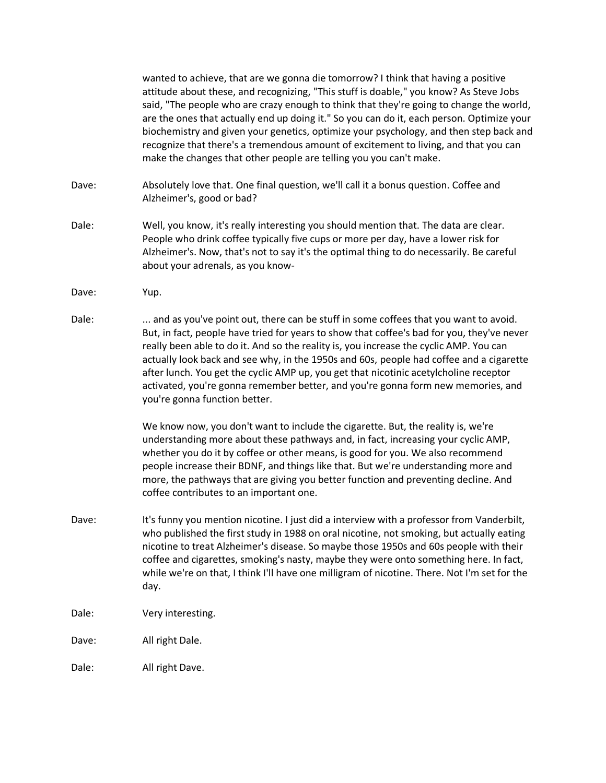wanted to achieve, that are we gonna die tomorrow? I think that having a positive attitude about these, and recognizing, "This stuff is doable," you know? As Steve Jobs said, "The people who are crazy enough to think that they're going to change the world, are the ones that actually end up doing it." So you can do it, each person. Optimize your biochemistry and given your genetics, optimize your psychology, and then step back and recognize that there's a tremendous amount of excitement to living, and that you can make the changes that other people are telling you you can't make.

Dave: Absolutely love that. One final question, we'll call it a bonus question. Coffee and Alzheimer's, good or bad?

- Dale: Well, you know, it's really interesting you should mention that. The data are clear. People who drink coffee typically five cups or more per day, have a lower risk for Alzheimer's. Now, that's not to say it's the optimal thing to do necessarily. Be careful about your adrenals, as you know-
- Dave: Yup.
- Dale: ... and as you've point out, there can be stuff in some coffees that you want to avoid. But, in fact, people have tried for years to show that coffee's bad for you, they've never really been able to do it. And so the reality is, you increase the cyclic AMP. You can actually look back and see why, in the 1950s and 60s, people had coffee and a cigarette after lunch. You get the cyclic AMP up, you get that nicotinic acetylcholine receptor activated, you're gonna remember better, and you're gonna form new memories, and you're gonna function better.

We know now, you don't want to include the cigarette. But, the reality is, we're understanding more about these pathways and, in fact, increasing your cyclic AMP, whether you do it by coffee or other means, is good for you. We also recommend people increase their BDNF, and things like that. But we're understanding more and more, the pathways that are giving you better function and preventing decline. And coffee contributes to an important one.

- Dave: It's funny you mention nicotine. I just did a interview with a professor from Vanderbilt, who published the first study in 1988 on oral nicotine, not smoking, but actually eating nicotine to treat Alzheimer's disease. So maybe those 1950s and 60s people with their coffee and cigarettes, smoking's nasty, maybe they were onto something here. In fact, while we're on that, I think I'll have one milligram of nicotine. There. Not I'm set for the day.
- Dale: Very interesting.
- Dave: All right Dale.

Dale: All right Dave.